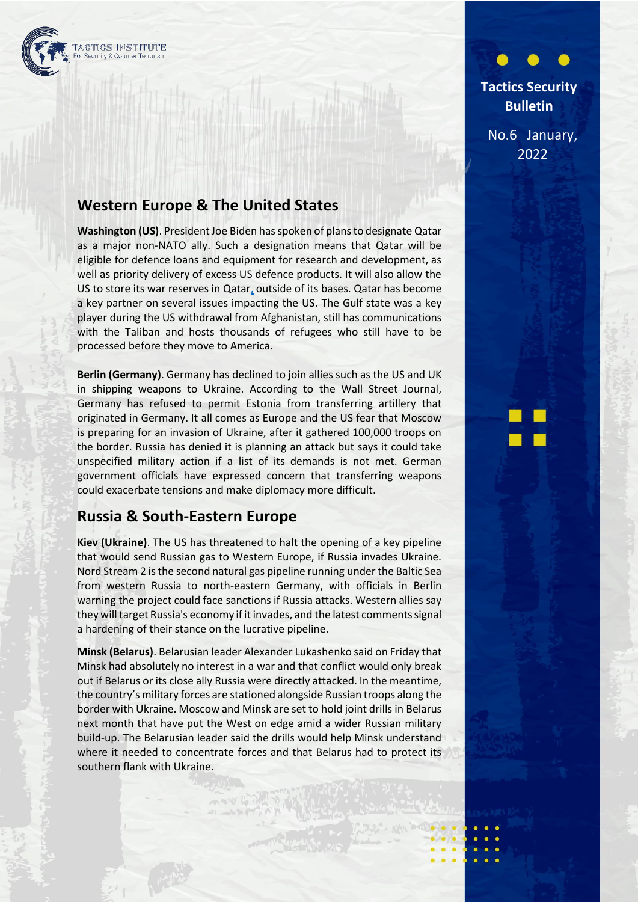

## **Tactics Security Bulletin**

No.6 January, 2022

## **Western Europe & The United States**

**Washington (US)**. President Joe Biden has spoken of plans to designate Qatar as a major non-NATO ally. Such a designation means that Qatar will be eligible for defence loans and equipment for research and development, as well as priority delivery of excess US defence products. It will also allow the US to store its war reserves in Qatar, outside of its bases. Qatar has become a key partner on several issues impacting the US. The Gulf state was a key player during the US withdrawal from Afghanistan, still has communications with the Taliban and hosts thousands of refugees who still have to be processed before they move to America.

**Berlin (Germany)**. Germany has declined to join allies such as the US and UK in shipping weapons to Ukraine. According to the Wall Street Journal, Germany has refused to permit Estonia from transferring artillery that originated in Germany. It all comes as Europe and the US fear that Moscow is preparing for an invasion of Ukraine, after it gathered 100,000 troops on the border. Russia has denied it is planning an attack but says it could take unspecified military action if a list of its demands is not met. German government officials have expressed concern that transferring weapons could exacerbate tensions and make diplomacy more difficult.

## **Russia & South-Eastern Europe**

**Kiev (Ukraine)**. The US has threatened to halt the opening of a key pipeline that would send Russian gas to Western Europe, if Russia invades Ukraine. Nord Stream 2 is the second natural gas pipeline running under the Baltic Sea from western Russia to north-eastern Germany, with officials in Berlin warning the project could face sanctions if Russia attacks. Western allies say they will target Russia's economy if it invades, and the latest comments signal a hardening of their stance on the lucrative pipeline.

**Minsk (Belarus)**. Belarusian leader Alexander Lukashenko said on Friday that Minsk had absolutely no interest in a war and that conflict would only break out if Belarus or its close ally Russia were directly attacked. In the meantime, the country's military forces are stationed alongside Russian troops along the border with Ukraine. Moscow and Minsk are set to hold joint drills in Belarus next month that have put the West on edge amid a wider Russian military build-up. The Belarusian leader said the drills would help Minsk understand where it needed to concentrate forces and that Belarus had to protect its southern flank with Ukraine.